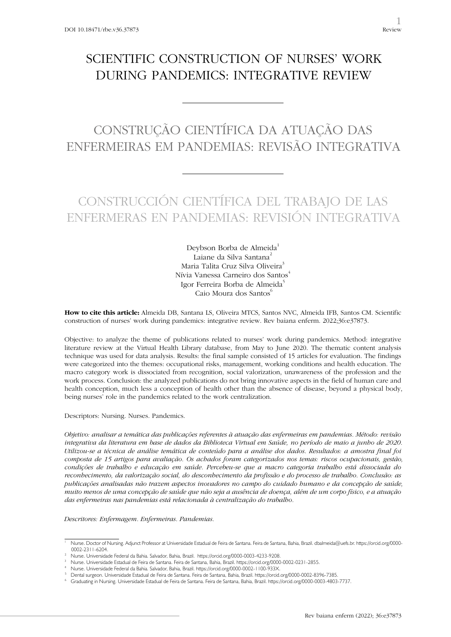## SCIENTIFIC CONSTRUCTION OF NURSES' WORK DURING PANDEMICS: INTEGRATIVE REVIEW

# CONSTRUÇÃO CIENTÍFICA DA ATUAÇÃO DAS ENFERMEIRAS EM PANDEMIAS: REVISÃO INTEGRATIVA

## CONSTRUCCIÓN CIENTÍFICA DEL TRABAJO DE LAS ENFERMERAS EN PANDEMIAS: REVISIÓN INTEGRATIVA

Deybson Borba de Almeida<sup>1</sup> Laiane da Silva Santana<sup>2</sup> Maria Talita Cruz Silva Oliveira<sup>3</sup> Nívia Vanessa Carneiro dos Santos<sup>4</sup> Igor Ferreira Borba de Almeida<sup>5</sup> Caio Moura dos Santos<sup>6</sup>

**How to cite this article:** Almeida DB, Santana LS, Oliveira MTCS, Santos NVC, Almeida IFB, Santos CM. Scientific construction of nurses' work during pandemics: integrative review. Rev baiana enferm. 2022;36:e37873.

Objective: to analyze the theme of publications related to nurses' work during pandemics. Method: integrative literature review at the Virtual Health Library database, from May to June 2020. The thematic content analysis technique was used for data analysis. Results: the final sample consisted of 15 articles for evaluation. The findings were categorized into the themes: occupational risks, management, working conditions and health education. The macro category work is dissociated from recognition, social valorization, unawareness of the profession and the work process. Conclusion: the analyzed publications do not bring innovative aspects in the field of human care and health conception, much less a conception of health other than the absence of disease, beyond a physical body, being nurses' role in the pandemics related to the work centralization.

Descriptors: Nursing. Nurses. Pandemics.

*Objetivo: analisar a temática das publicações referentes à atuação das enfermeiras em pandemias. Método: revisão integrativa da literatura em base de dados da Biblioteca Virtual em Saúde, no período de maio a junho de 2020. Utilizou-se a técnica de análise temática de conteúdo para a análise dos dados. Resultados: a amostra final foi composta de 15 artigos para avaliação. Os achados foram categorizados nos temas: riscos ocupacionais, gestão, condições de trabalho e educação em saúde. Percebeu-se que a macro categoria trabalho está dissociada do reconhecimento, da valorização social, do desconhecimento da profissão e do processo de trabalho. Conclusão: as publicações analisadas não trazem aspectos inovadores no campo do cuidado humano e da concepção de saúde, muito menos de uma concepção de saúde que não seja a ausência de doença, além de um corpo físico, e a atuação das enfermeiras nas pandemias está relacionada à centralização do trabalho.*

*Descritores: Enfermagem. Enfermeiras. Pandemias.* 

<sup>1</sup> Nurse. Doctor of Nursing. Adjunct Professor at Universidade Estadual de Feira de Santana. Feira de Santana, Bahia, Brazil. dbalmeida@uefs.br. https://orcid.org/0000- 0002-2311-6204.

<sup>2</sup> Nurse. Universidade Federal da Bahia. Salvador, Bahia, Brazil. https://orcid.org/0000-0003-4233-9208.

<sup>3</sup> Nurse. Universidade Estadual de Feira de Santana. Feira de Santana, Bahia, Brazil. https://orcid.org/0000-0002-0231-2855.

<sup>4</sup> Nurse. Universidade Federal da Bahia. Salvador, Bahia, Brazil. https://orcid.org/0000-0002-1100-933X.

<sup>5</sup> Dental surgeon. Universidade Estadual de Feira de Santana. Feira de Santana, Bahia, Brazil. https://orcid.org/0000-0002-8396-7385.

<sup>6</sup> Graduating in Nursing. Universidade Estadual de Feira de Santana. Feira de Santana, Bahia, Brazil. https://orcid.org/0000-0003-4803-7737.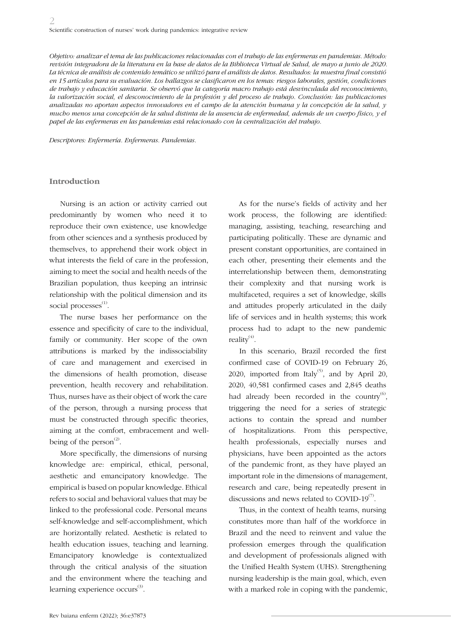*Objetivo: analizar el tema de las publicaciones relacionadas con el trabajo de las enfermeras en pandemias. Método: revisión integradora de la literatura en la base de datos de la Biblioteca Virtual de Salud, de mayo a junio de 2020. La técnica de análisis de contenido temático se utilizó para el análisis de datos. Resultados: la muestra final consistió en 15 artículos para su evaluación. Los hallazgos se clasificaron en los temas: riesgos laborales, gestión, condiciones de trabajo y educación sanitaria. Se observó que la categoría macro trabajo está desvinculada del reconocimiento, la valorización social, el desconocimiento de la profesión y del proceso de trabajo. Conclusión: las publicaciones analizadas no aportan aspectos innovadores en el campo de la atención humana y la concepción de la salud, y mucho menos una concepción de la salud distinta de la ausencia de enfermedad, además de un cuerpo físico, y el papel de las enfermeras en las pandemias está relacionado con la centralización del trabajo.*

*Descriptores: Enfermería. Enfermeras. Pandemias.*

#### **Introduction**

Nursing is an action or activity carried out predominantly by women who need it to reproduce their own existence, use knowledge from other sciences and a synthesis produced by themselves, to apprehend their work object in what interests the field of care in the profession, aiming to meet the social and health needs of the Brazilian population, thus keeping an intrinsic relationship with the political dimension and its social processes $<sup>(1)</sup>$ .</sup>

The nurse bases her performance on the essence and specificity of care to the individual, family or community. Her scope of the own attributions is marked by the indissociability of care and management and exercised in the dimensions of health promotion, disease prevention, health recovery and rehabilitation. Thus, nurses have as their object of work the care of the person, through a nursing process that must be constructed through specific theories, aiming at the comfort, embracement and wellbeing of the person<sup> $(2)$ </sup>.

More specifically, the dimensions of nursing knowledge are: empirical, ethical, personal, aesthetic and emancipatory knowledge. The empirical is based on popular knowledge. Ethical refers to social and behavioral values that may be linked to the professional code. Personal means self-knowledge and self-accomplishment, which are horizontally related. Aesthetic is related to health education issues, teaching and learning. Emancipatory knowledge is contextualized through the critical analysis of the situation and the environment where the teaching and learning experience occurs<sup>(3)</sup>.

As for the nurse's fields of activity and her work process, the following are identified: managing, assisting, teaching, researching and participating politically. These are dynamic and present constant opportunities, are contained in each other, presenting their elements and the interrelationship between them, demonstrating their complexity and that nursing work is multifaceted, requires a set of knowledge, skills and attitudes properly articulated in the daily life of services and in health systems; this work process had to adapt to the new pandemic reality $(4)$ .

In this scenario, Brazil recorded the first confirmed case of COVID-19 on February 26, 2020, imported from Italy<sup>(5)</sup>, and by April 20, 2020, 40,581 confirmed cases and 2,845 deaths had already been recorded in the country<sup>(6)</sup>, triggering the need for a series of strategic actions to contain the spread and number of hospitalizations. From this perspective, health professionals, especially nurses and physicians, have been appointed as the actors of the pandemic front, as they have played an important role in the dimensions of management, research and care, being repeatedly present in discussions and news related to COVID-19 $\text{\textdegree}$ .

Thus, in the context of health teams, nursing constitutes more than half of the workforce in Brazil and the need to reinvent and value the profession emerges through the qualification and development of professionals aligned with the Unified Health System (UHS). Strengthening nursing leadership is the main goal, which, even with a marked role in coping with the pandemic,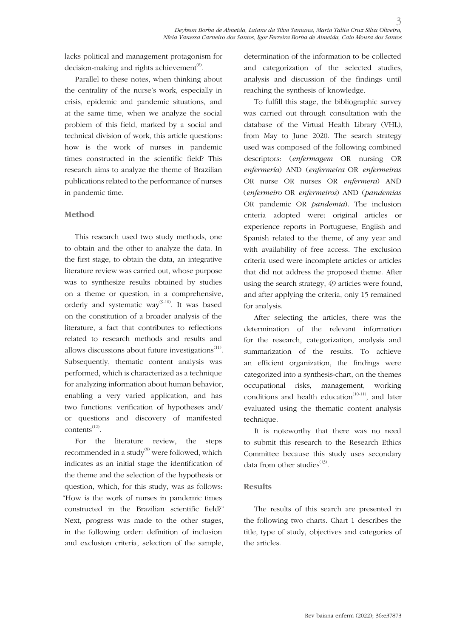lacks political and management protagonism for decision-making and rights achievement<sup> $(8)$ </sup>.

Parallel to these notes, when thinking about the centrality of the nurse's work, especially in crisis, epidemic and pandemic situations, and at the same time, when we analyze the social problem of this field, marked by a social and technical division of work, this article questions: how is the work of nurses in pandemic times constructed in the scientific field? This research aims to analyze the theme of Brazilian publications related to the performance of nurses in pandemic time.

### **Method**

This research used two study methods, one to obtain and the other to analyze the data. In the first stage, to obtain the data, an integrative literature review was carried out, whose purpose was to synthesize results obtained by studies on a theme or question, in a comprehensive, orderly and systematic way<sup>(9-10)</sup>. It was based on the constitution of a broader analysis of the literature, a fact that contributes to reflections related to research methods and results and allows discussions about future investigations $<sup>(11)</sup>$ .</sup> Subsequently, thematic content analysis was performed, which is characterized as a technique for analyzing information about human behavior, enabling a very varied application, and has two functions: verification of hypotheses and/ or questions and discovery of manifested contents(12).

For the literature review, the steps recommended in a study $^{(9)}$  were followed, which indicates as an initial stage the identification of the theme and the selection of the hypothesis or question, which, for this study, was as follows: "How is the work of nurses in pandemic times constructed in the Brazilian scientific field?" Next, progress was made to the other stages, in the following order: definition of inclusion and exclusion criteria, selection of the sample,

determination of the information to be collected and categorization of the selected studies, analysis and discussion of the findings until reaching the synthesis of knowledge.

To fulfill this stage, the bibliographic survey was carried out through consultation with the database of the Virtual Health Library (VHL), from May to June 2020. The search strategy used was composed of the following combined descriptors: (*enfermagem* OR nursing OR *enfermería*) AND (*enfermeira* OR *enfermeiras* OR nurse OR nurses OR *enfermera*) AND (*enfermeiro* OR *enfermeiros*) AND (*pandemias*  OR pandemic OR *pandemia*). The inclusion criteria adopted were: original articles or experience reports in Portuguese, English and Spanish related to the theme, of any year and with availability of free access. The exclusion criteria used were incomplete articles or articles that did not address the proposed theme. After using the search strategy, 49 articles were found, and after applying the criteria, only 15 remained for analysis.

After selecting the articles, there was the determination of the relevant information for the research, categorization, analysis and summarization of the results. To achieve an efficient organization, the findings were categorized into a synthesis-chart, on the themes occupational risks, management, working conditions and health education<sup> $(10-11)$ </sup>, and later evaluated using the thematic content analysis technique.

It is noteworthy that there was no need to submit this research to the Research Ethics Committee because this study uses secondary data from other studies $^{(13)}$ .

#### **Results**

The results of this search are presented in the following two charts. Chart 1 describes the title, type of study, objectives and categories of the articles.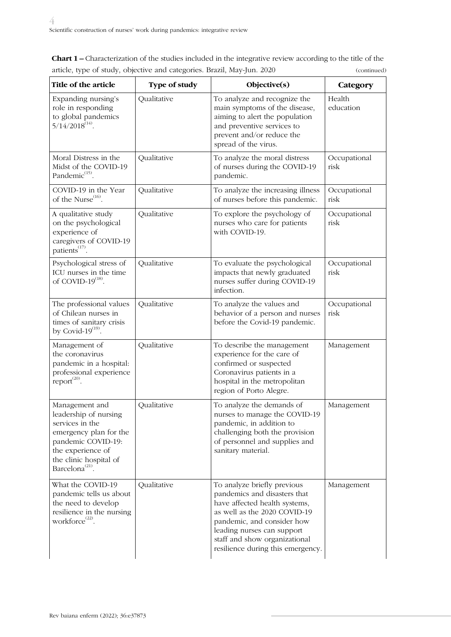**Chart 1 –** Characterization of the studies included in the integrative review according to the title of the article, type of study, objective and categories. Brazil, May-Jun. 2020 (continued)

| Title of the article                                                                                                                                                                     | Type of study | Objective(s)                                                                                                                                                                                                                                                   | Category             |
|------------------------------------------------------------------------------------------------------------------------------------------------------------------------------------------|---------------|----------------------------------------------------------------------------------------------------------------------------------------------------------------------------------------------------------------------------------------------------------------|----------------------|
| Expanding nursing's<br>role in responding<br>to global pandemics<br>$5/14/2018^{(14)}$ .                                                                                                 | Qualitative   | To analyze and recognize the<br>main symptoms of the disease,<br>aiming to alert the population<br>and preventive services to<br>prevent and/or reduce the<br>spread of the virus.                                                                             | Health<br>education  |
| Moral Distress in the<br>Midst of the COVID-19<br>Pandemic <sup>(15)</sup> .                                                                                                             | Qualitative   | To analyze the moral distress<br>of nurses during the COVID-19<br>pandemic.                                                                                                                                                                                    | Occupational<br>risk |
| COVID-19 in the Year<br>of the Nurse <sup>(16)</sup> .                                                                                                                                   | Qualitative   | To analyze the increasing illness<br>of nurses before this pandemic.                                                                                                                                                                                           | Occupational<br>risk |
| A qualitative study<br>on the psychological<br>experience of<br>caregivers of COVID-19<br>patients <sup>(17)</sup> .                                                                     | Qualitative   | To explore the psychology of<br>nurses who care for patients<br>with COVID-19.                                                                                                                                                                                 | Occupational<br>risk |
| Psychological stress of<br>ICU nurses in the time<br>of COVID- $19^{(18)}$ .                                                                                                             | Qualitative   | To evaluate the psychological<br>impacts that newly graduated<br>nurses suffer during COVID-19<br>infection.                                                                                                                                                   | Occupational<br>risk |
| The professional values<br>of Chilean nurses in<br>times of sanitary crisis<br>by Covid- $19^{(19)}$ .                                                                                   | Qualitative   | To analyze the values and<br>behavior of a person and nurses<br>before the Covid-19 pandemic.                                                                                                                                                                  | Occupational<br>risk |
| Management of<br>the coronavirus<br>pandemic in a hospital:<br>professional experience<br>$report^{\left( 20\right) }.$                                                                  | Qualitative   | To describe the management<br>experience for the care of<br>confirmed or suspected<br>Coronavirus patients in a<br>hospital in the metropolitan<br>region of Porto Alegre.                                                                                     | Management           |
| Management and<br>leadership of nursing<br>services in the<br>emergency plan for the<br>pandemic COVID-19:<br>the experience of<br>the clinic hospital of<br>Barcelona <sup>(21)</sup> . | Qualitative   | To analyze the demands of<br>nurses to manage the COVID-19<br>pandemic, in addition to<br>challenging both the provision<br>of personnel and supplies and<br>sanitary material.                                                                                | Management           |
| What the COVID-19<br>pandemic tells us about<br>the need to develop<br>resilience in the nursing<br>workforce <sup>(22)</sup> .                                                          | Qualitative   | To analyze briefly previous<br>pandemics and disasters that<br>have affected health systems,<br>as well as the 2020 COVID-19<br>pandemic, and consider how<br>leading nurses can support<br>staff and show organizational<br>resilience during this emergency. | Management           |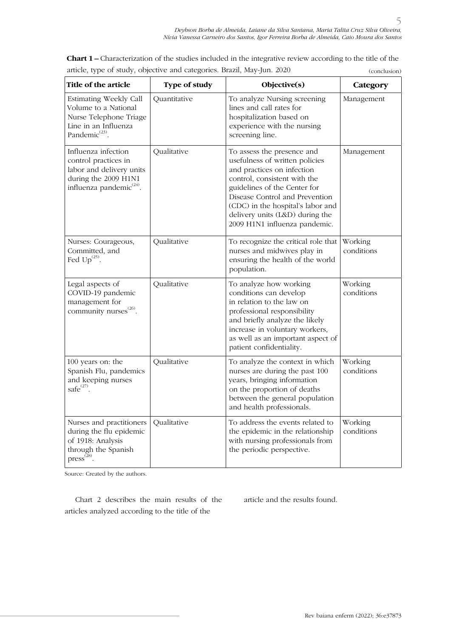| Title of the article                                                                                                                       | Type of study | Objective(s)                                                                                                                                                                                                                                                                                          | Category              |
|--------------------------------------------------------------------------------------------------------------------------------------------|---------------|-------------------------------------------------------------------------------------------------------------------------------------------------------------------------------------------------------------------------------------------------------------------------------------------------------|-----------------------|
| Estimating Weekly Call<br>Volume to a National<br>Nurse Telephone Triage<br>Line in an Influenza<br>Pandemic <sup>(23)</sup> .             | Quantitative  | To analyze Nursing screening<br>lines and call rates for<br>hospitalization based on<br>experience with the nursing<br>screening line.                                                                                                                                                                | Management            |
| Influenza infection<br>control practices in<br>labor and delivery units<br>during the 2009 H1N1<br>influenza pandemic <sup>(24)</sup> .    | Qualitative   | To assess the presence and<br>usefulness of written policies<br>and practices on infection<br>control, consistent with the<br>guidelines of the Center for<br>Disease Control and Prevention<br>(CDC) in the hospital's labor and<br>delivery units (L&D) during the<br>2009 H1N1 influenza pandemic. | Management            |
| Nurses: Courageous,<br>Committed, and<br>Fed $Up^{(25)}$ .                                                                                 | Qualitative   | To recognize the critical role that<br>nurses and midwives play in<br>ensuring the health of the world<br>population.                                                                                                                                                                                 | Working<br>conditions |
| Legal aspects of<br>COVID-19 pandemic<br>management for<br>community nurses <sup>(26)</sup> .                                              | Qualitative   | To analyze how working<br>conditions can develop<br>in relation to the law on<br>professional responsibility<br>and briefly analyze the likely<br>increase in voluntary workers,<br>as well as an important aspect of<br>patient confidentiality.                                                     | Working<br>conditions |
| 100 years on: the<br>Spanish Flu, pandemics<br>and keeping nurses<br>safe $^{(27)}$ .                                                      | Qualitative   | To analyze the context in which<br>nurses are during the past 100<br>years, bringing information<br>on the proportion of deaths<br>between the general population<br>and health professionals.                                                                                                        | Working<br>conditions |
| Nurses and practitioners<br>during the flu epidemic<br>of 1918: Analysis<br>through the Spanish<br>$press^{\left( \overline{2}8\right) }.$ | Qualitative   | To address the events related to<br>the epidemic in the relationship<br>with nursing professionals from<br>the periodic perspective.                                                                                                                                                                  | Working<br>conditions |

**Chart 1 –** Characterization of the studies included in the integrative review according to the title of the article, type of study, objective and categories. Brazil, May-Jun. 2020 (conclusion)

Source: Created by the authors.

Chart 2 describes the main results of the articles analyzed according to the title of the

article and the results found.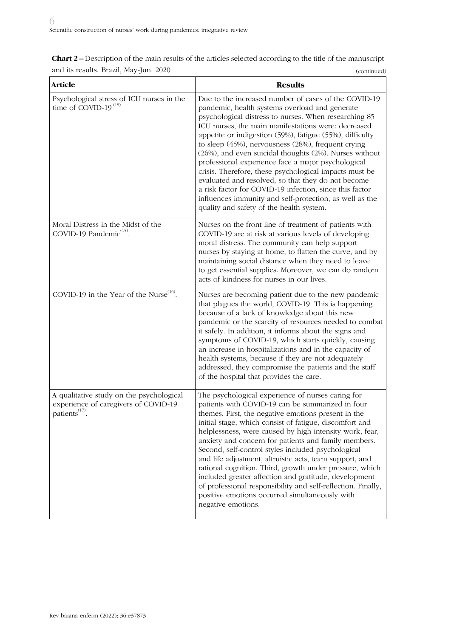| <b>Chart 2 –</b> Description of the main results of the articles selected according to the title of the manuscript |             |
|--------------------------------------------------------------------------------------------------------------------|-------------|
| and its results. Brazil, May-Jun. 2020                                                                             | (continued) |

| <b>Article</b>                                                                                                 | <b>Results</b>                                                                                                                                                                                                                                                                                                                                                                                                                                                                                                                                                                                                                                                                                                                             |
|----------------------------------------------------------------------------------------------------------------|--------------------------------------------------------------------------------------------------------------------------------------------------------------------------------------------------------------------------------------------------------------------------------------------------------------------------------------------------------------------------------------------------------------------------------------------------------------------------------------------------------------------------------------------------------------------------------------------------------------------------------------------------------------------------------------------------------------------------------------------|
| Psychological stress of ICU nurses in the<br>time of COVID-19 <sup>(18)</sup> .                                | Due to the increased number of cases of the COVID-19<br>pandemic, health systems overload and generate<br>psychological distress to nurses. When researching 85<br>ICU nurses, the main manifestations were: decreased<br>appetite or indigestion (59%), fatigue (55%), difficulty<br>to sleep (45%), nervousness (28%), frequent crying<br>(26%), and even suicidal thoughts (2%). Nurses without<br>professional experience face a major psychological<br>crisis. Therefore, these psychological impacts must be<br>evaluated and resolved, so that they do not become<br>a risk factor for COVID-19 infection, since this factor<br>influences immunity and self-protection, as well as the<br>quality and safety of the health system. |
| Moral Distress in the Midst of the<br>COVID-19 Pandemic <sup>(15)</sup> .                                      | Nurses on the front line of treatment of patients with<br>COVID-19 are at risk at various levels of developing<br>moral distress. The community can help support<br>nurses by staying at home, to flatten the curve, and by<br>maintaining social distance when they need to leave<br>to get essential supplies. Moreover, we can do random<br>acts of kindness for nurses in our lives.                                                                                                                                                                                                                                                                                                                                                   |
| COVID-19 in the Year of the Nurse <sup>(16)</sup> .                                                            | Nurses are becoming patient due to the new pandemic<br>that plagues the world, COVID-19. This is happening<br>because of a lack of knowledge about this new<br>pandemic or the scarcity of resources needed to combat<br>it safely. In addition, it informs about the signs and<br>symptoms of COVID-19, which starts quickly, causing<br>an increase in hospitalizations and in the capacity of<br>health systems, because if they are not adequately<br>addressed, they compromise the patients and the staff<br>of the hospital that provides the care.                                                                                                                                                                                 |
| A qualitative study on the psychological<br>experience of caregivers of COVID-19<br>patients <sup>(17)</sup> . | The psychological experience of nurses caring for<br>patients with COVID-19 can be summarized in four<br>themes. First, the negative emotions present in the<br>initial stage, which consist of fatigue, discomfort and<br>helplessness, were caused by high intensity work, fear,<br>anxiety and concern for patients and family members.<br>Second, self-control styles included psychological<br>and life adjustment, altruistic acts, team support, and<br>rational cognition. Third, growth under pressure, which<br>included greater affection and gratitude, development<br>of professional responsibility and self-reflection. Finally,<br>positive emotions occurred simultaneously with<br>negative emotions.                    |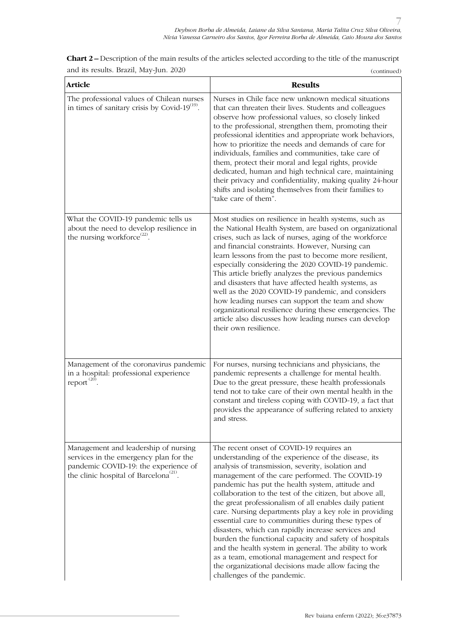| <b>Article</b>                                                                                                                                                               | <b>Results</b>                                                                                                                                                                                                                                                                                                                                                                                                                                                                                                                                                                                                                                                                                                                                                                                                     |
|------------------------------------------------------------------------------------------------------------------------------------------------------------------------------|--------------------------------------------------------------------------------------------------------------------------------------------------------------------------------------------------------------------------------------------------------------------------------------------------------------------------------------------------------------------------------------------------------------------------------------------------------------------------------------------------------------------------------------------------------------------------------------------------------------------------------------------------------------------------------------------------------------------------------------------------------------------------------------------------------------------|
| The professional values of Chilean nurses<br>in times of sanitary crisis by Covid- $19^{(19)}$ .                                                                             | Nurses in Chile face new unknown medical situations<br>that can threaten their lives. Students and colleagues<br>observe how professional values, so closely linked<br>to the professional, strengthen them, promoting their<br>professional identities and appropriate work behaviors,<br>how to prioritize the needs and demands of care for<br>individuals, families and communities, take care of<br>them, protect their moral and legal rights, provide<br>dedicated, human and high technical care, maintaining<br>their privacy and confidentiality, making quality 24-hour<br>shifts and isolating themselves from their families to<br>"take care of them".                                                                                                                                               |
| What the COVID-19 pandemic tells us<br>about the need to develop resilience in<br>the nursing workforce <sup>(22)</sup> .                                                    | Most studies on resilience in health systems, such as<br>the National Health System, are based on organizational<br>crises, such as lack of nurses, aging of the workforce<br>and financial constraints. However, Nursing can<br>learn lessons from the past to become more resilient,<br>especially considering the 2020 COVID-19 pandemic.<br>This article briefly analyzes the previous pandemics<br>and disasters that have affected health systems, as<br>well as the 2020 COVID-19 pandemic, and considers<br>how leading nurses can support the team and show<br>organizational resilience during these emergencies. The<br>article also discusses how leading nurses can develop<br>their own resilience.                                                                                                  |
| Management of the coronavirus pandemic<br>in a hospital: professional experience<br>report $^{(20)}$ .                                                                       | For nurses, nursing technicians and physicians, the<br>pandemic represents a challenge for mental health.<br>Due to the great pressure, these health professionals<br>tend not to take care of their own mental health in the<br>constant and tireless coping with COVID-19, a fact that<br>provides the appearance of suffering related to anxiety<br>and stress.                                                                                                                                                                                                                                                                                                                                                                                                                                                 |
| Management and leadership of nursing<br>services in the emergency plan for the<br>pandemic COVID-19: the experience of<br>the clinic hospital of Barcelona <sup>(21)</sup> . | The recent onset of COVID-19 requires an<br>understanding of the experience of the disease, its<br>analysis of transmission, severity, isolation and<br>management of the care performed. The COVID-19<br>pandemic has put the health system, attitude and<br>collaboration to the test of the citizen, but above all,<br>the great professionalism of all enables daily patient<br>care. Nursing departments play a key role in providing<br>essential care to communities during these types of<br>disasters, which can rapidly increase services and<br>burden the functional capacity and safety of hospitals<br>and the health system in general. The ability to work<br>as a team, emotional management and respect for<br>the organizational decisions made allow facing the<br>challenges of the pandemic. |

**Chart 2 –** Description of the main results of the articles selected according to the title of the manuscript and its results. Brazil, May-Jun. 2020 (continued)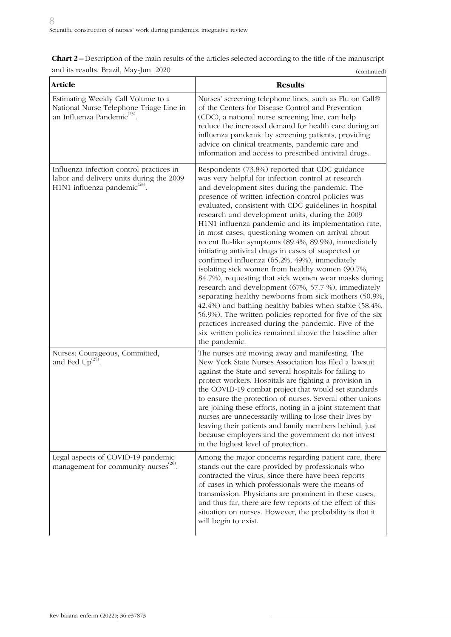| <b>Chart 2 –</b> Description of the main results of the articles selected according to the title of the manuscript |             |
|--------------------------------------------------------------------------------------------------------------------|-------------|
| and its results. Brazil, May-Jun. 2020                                                                             | (continued) |

| <b>Article</b>                                                                                                              | <b>Results</b>                                                                                                                                                                                                                                                                                                                                                                                                                                                                                                                                                                                                                                                                                                                                                                                                                                                                                                                                                                                                                                                                            |
|-----------------------------------------------------------------------------------------------------------------------------|-------------------------------------------------------------------------------------------------------------------------------------------------------------------------------------------------------------------------------------------------------------------------------------------------------------------------------------------------------------------------------------------------------------------------------------------------------------------------------------------------------------------------------------------------------------------------------------------------------------------------------------------------------------------------------------------------------------------------------------------------------------------------------------------------------------------------------------------------------------------------------------------------------------------------------------------------------------------------------------------------------------------------------------------------------------------------------------------|
| Estimating Weekly Call Volume to a<br>National Nurse Telephone Triage Line in<br>an Influenza Pandemic <sup>(23)</sup> .    | Nurses' screening telephone lines, such as Flu on Call®<br>of the Centers for Disease Control and Prevention<br>(CDC), a national nurse screening line, can help<br>reduce the increased demand for health care during an<br>influenza pandemic by screening patients, providing<br>advice on clinical treatments, pandemic care and<br>information and access to prescribed antiviral drugs.                                                                                                                                                                                                                                                                                                                                                                                                                                                                                                                                                                                                                                                                                             |
| Influenza infection control practices in<br>labor and delivery units during the 2009<br>H1N1 influenza pandemic $^{(24)}$ . | Respondents (73.8%) reported that CDC guidance<br>was very helpful for infection control at research<br>and development sites during the pandemic. The<br>presence of written infection control policies was<br>evaluated, consistent with CDC guidelines in hospital<br>research and development units, during the 2009<br>H1N1 influenza pandemic and its implementation rate,<br>in most cases, questioning women on arrival about<br>recent flu-like symptoms (89.4%, 89.9%), immediately<br>initiating antiviral drugs in cases of suspected or<br>confirmed influenza (65.2%, 49%), immediately<br>isolating sick women from healthy women (90.7%,<br>84.7%), requesting that sick women wear masks during<br>research and development (67%, 57.7 %), immediately<br>separating healthy newborns from sick mothers (50.9%,<br>42.4%) and bathing healthy babies when stable (58.4%,<br>56.9%). The written policies reported for five of the six<br>practices increased during the pandemic. Five of the<br>six written policies remained above the baseline after<br>the pandemic. |
| Nurses: Courageous, Committed,<br>and Fed $Up^{(25)}$ .                                                                     | The nurses are moving away and manifesting. The<br>New York State Nurses Association has filed a lawsuit<br>against the State and several hospitals for failing to<br>protect workers. Hospitals are fighting a provision in<br>the COVID-19 combat project that would set standards<br>to ensure the protection of nurses. Several other unions<br>are joining these efforts, noting in a joint statement that<br>nurses are unnecessarily willing to lose their lives by<br>leaving their patients and family members behind, just<br>because employers and the government do not invest<br>in the highest level of protection.                                                                                                                                                                                                                                                                                                                                                                                                                                                         |
| Legal aspects of COVID-19 pandemic<br>management for community nurses <sup>(26)</sup> .                                     | Among the major concerns regarding patient care, there<br>stands out the care provided by professionals who<br>contracted the virus, since there have been reports<br>of cases in which professionals were the means of<br>transmission. Physicians are prominent in these cases,<br>and thus far, there are few reports of the effect of this<br>situation on nurses. However, the probability is that it<br>will begin to exist.                                                                                                                                                                                                                                                                                                                                                                                                                                                                                                                                                                                                                                                        |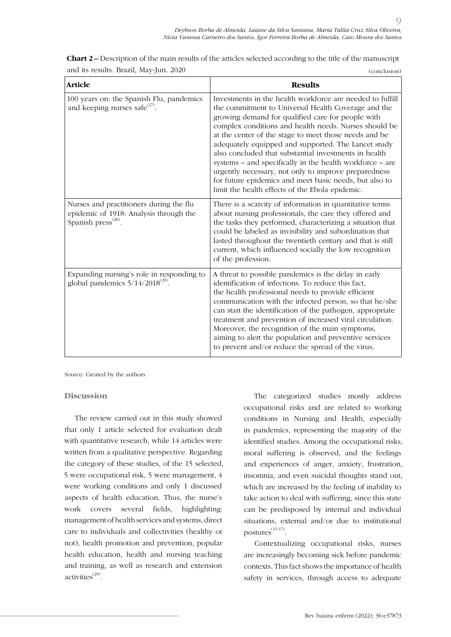| <b>Article</b>                                                                                                       | <b>Results</b>                                                                                                                                                                                                                                                                                                                                                                                                                                                                                                                                                                                                                           |
|----------------------------------------------------------------------------------------------------------------------|------------------------------------------------------------------------------------------------------------------------------------------------------------------------------------------------------------------------------------------------------------------------------------------------------------------------------------------------------------------------------------------------------------------------------------------------------------------------------------------------------------------------------------------------------------------------------------------------------------------------------------------|
| 100 years on: the Spanish Flu, pandemics<br>and keeping nurses safe <sup>(27)</sup> .                                | Investments in the health workforce are needed to fulfill<br>the commitment to Universal Health Coverage and the<br>growing demand for qualified care for people with<br>complex conditions and health needs. Nurses should be<br>at the center of the stage to meet those needs and be<br>adequately equipped and supported. The Lancet study<br>also concluded that substantial investments in health<br>systems – and specifically in the health workforce – are<br>urgently necessary, not only to improve preparedness<br>for future epidemics and meet basic needs, but also to<br>limit the health effects of the Ebola epidemic. |
| Nurses and practitioners during the flu<br>epidemic of 1918: Analysis through the<br>Spanish press <sup>(28)</sup> . | There is a scarcity of information in quantitative terms<br>about nursing professionals, the care they offered and<br>the tasks they performed, characterizing a situation that<br>could be labeled as invisibility and subordination that<br>lasted throughout the twentieth century and that is still<br>current, which influenced socially the low recognition<br>of the profession.                                                                                                                                                                                                                                                  |
| Expanding nursing's role in responding to<br>global pandemics $5/14/2018^{(29)}$ .                                   | A threat to possible pandemics is the delay in early<br>identification of infections. To reduce this fact,<br>the health professional needs to provide efficient<br>communication with the infected person, so that he/she<br>can start the identification of the pathogen, appropriate<br>treatment and prevention of increased viral circulation.<br>Moreover, the recognition of the main symptoms,<br>aiming to alert the population and preventive services<br>to prevent and/or reduce the spread of the virus.                                                                                                                    |

**Chart 2 –** Description of the main results of the articles selected according to the title of the manuscript and its results. Brazil, May-Jun. 2020 (conclusion)

Source: Created by the authors.

#### **Discussion**

The review carried out in this study showed that only 1 article selected for evaluation dealt with quantitative research, while 14 articles were written from a qualitative perspective. Regarding the category of these studies, of the 15 selected, 5 were occupational risk, 5 were management, 4 were working conditions and only 1 discussed aspects of health education. Thus, the nurse's work covers several fields, highlighting: management of health services and systems, direct care to individuals and collectivities (healthy or not), health promotion and prevention, popular health education, health and nursing teaching and training, as well as research and extension activities<sup>(29)</sup>.

The categorized studies mostly address occupational risks and are related to working conditions in Nursing and Health, especially in pandemics, representing the majority of the identified studies. Among the occupational risks, moral suffering is observed, and the feelings and experiences of anger, anxiety, frustration, insomnia, and even suicidal thoughts stand out, which are increased by the feeling of inability to take action to deal with suffering, since this state can be predisposed by internal and individual situations, external and/or due to institutional postures<sup>(15-17)</sup>.

Contextualizing occupational risks, nurses are increasingly becoming sick before pandemic contexts. This fact shows the importance of health safety in services, through access to adequate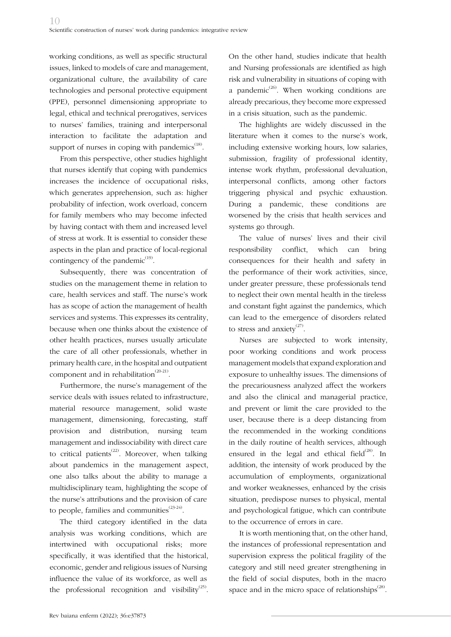working conditions, as well as specific structural issues, linked to models of care and management, organizational culture, the availability of care technologies and personal protective equipment (PPE), personnel dimensioning appropriate to legal, ethical and technical prerogatives, services to nurses' families, training and interpersonal interaction to facilitate the adaptation and support of nurses in coping with pandemics<sup>(18)</sup>.

From this perspective, other studies highlight that nurses identify that coping with pandemics increases the incidence of occupational risks, which generates apprehension, such as: higher probability of infection, work overload, concern for family members who may become infected by having contact with them and increased level of stress at work. It is essential to consider these aspects in the plan and practice of local-regional contingency of the pandemic $(19)$ .

Subsequently, there was concentration of studies on the management theme in relation to care, health services and staff. The nurse's work has as scope of action the management of health services and systems. This expresses its centrality, because when one thinks about the existence of other health practices, nurses usually articulate the care of all other professionals, whether in primary health care, in the hospital and outpatient component and in rehabilitation $(20-21)$ .

Furthermore, the nurse's management of the service deals with issues related to infrastructure, material resource management, solid waste management, dimensioning, forecasting, staff provision and distribution, nursing team management and indissociability with direct care to critical patients<sup> $(22)$ </sup>. Moreover, when talking about pandemics in the management aspect, one also talks about the ability to manage a multidisciplinary team, highlighting the scope of the nurse's attributions and the provision of care to people, families and communities $^{(23-24)}$ .

The third category identified in the data analysis was working conditions, which are intertwined with occupational risks; more specifically, it was identified that the historical, economic, gender and religious issues of Nursing influence the value of its workforce, as well as the professional recognition and visibility<sup>(25)</sup>.

On the other hand, studies indicate that health and Nursing professionals are identified as high risk and vulnerability in situations of coping with a pandemic<sup>(26)</sup>. When working conditions are already precarious, they become more expressed in a crisis situation, such as the pandemic.

The highlights are widely discussed in the literature when it comes to the nurse's work, including extensive working hours, low salaries, submission, fragility of professional identity, intense work rhythm, professional devaluation, interpersonal conflicts, among other factors triggering physical and psychic exhaustion. During a pandemic, these conditions are worsened by the crisis that health services and systems go through.

The value of nurses' lives and their civil responsibility conflict, which can bring consequences for their health and safety in the performance of their work activities, since, under greater pressure, these professionals tend to neglect their own mental health in the tireless and constant fight against the pandemics, which can lead to the emergence of disorders related to stress and anxiety<sup> $(27)$ </sup>.

Nurses are subjected to work intensity, poor working conditions and work process management models that expand exploration and exposure to unhealthy issues. The dimensions of the precariousness analyzed affect the workers and also the clinical and managerial practice, and prevent or limit the care provided to the user, because there is a deep distancing from the recommended in the working conditions in the daily routine of health services, although ensured in the legal and ethical field $^{(28)}$ . In addition, the intensity of work produced by the accumulation of employments, organizational and worker weaknesses, enhanced by the crisis situation, predispose nurses to physical, mental and psychological fatigue, which can contribute to the occurrence of errors in care.

It is worth mentioning that, on the other hand, the instances of professional representation and supervision express the political fragility of the category and still need greater strengthening in the field of social disputes, both in the macro space and in the micro space of relationships $^{(28)}$ .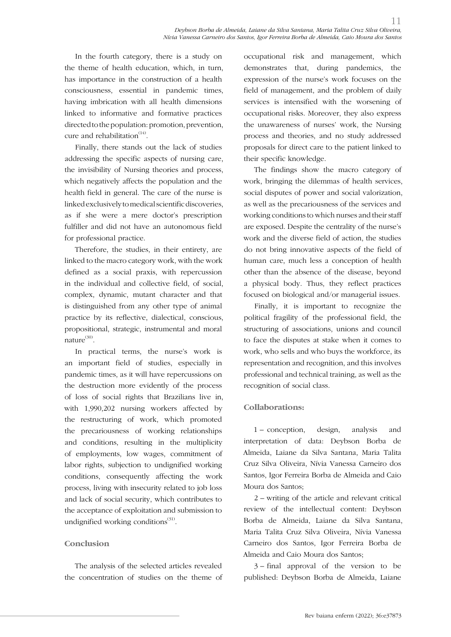In the fourth category, there is a study on the theme of health education, which, in turn, has importance in the construction of a health consciousness, essential in pandemic times, having imbrication with all health dimensions linked to informative and formative practices directed to the population: promotion, prevention, cure and rehabilitation $(14)$ .

Finally, there stands out the lack of studies addressing the specific aspects of nursing care, the invisibility of Nursing theories and process, which negatively affects the population and the health field in general. The care of the nurse is linked exclusively to medical scientific discoveries, as if she were a mere doctor's prescription fulfiller and did not have an autonomous field for professional practice.

Therefore, the studies, in their entirety, are linked to the macro category work, with the work defined as a social praxis, with repercussion in the individual and collective field, of social, complex, dynamic, mutant character and that is distinguished from any other type of animal practice by its reflective, dialectical, conscious, propositional, strategic, instrumental and moral nature<sup>(30)</sup>.

In practical terms, the nurse's work is an important field of studies, especially in pandemic times, as it will have repercussions on the destruction more evidently of the process of loss of social rights that Brazilians live in, with 1,990,202 nursing workers affected by the restructuring of work, which promoted the precariousness of working relationships and conditions, resulting in the multiplicity of employments, low wages, commitment of labor rights, subjection to undignified working conditions, consequently affecting the work process, living with insecurity related to job loss and lack of social security, which contributes to the acceptance of exploitation and submission to undignified working conditions<sup>(31)</sup>.

## **Conclusion**

The analysis of the selected articles revealed the concentration of studies on the theme of occupational risk and management, which demonstrates that, during pandemics, the expression of the nurse's work focuses on the field of management, and the problem of daily services is intensified with the worsening of occupational risks. Moreover, they also express the unawareness of nurses' work, the Nursing process and theories, and no study addressed proposals for direct care to the patient linked to their specific knowledge.

The findings show the macro category of work, bringing the dilemmas of health services, social disputes of power and social valorization, as well as the precariousness of the services and working conditions to which nurses and their staff are exposed. Despite the centrality of the nurse's work and the diverse field of action, the studies do not bring innovative aspects of the field of human care, much less a conception of health other than the absence of the disease, beyond a physical body. Thus, they reflect practices focused on biological and/or managerial issues.

Finally, it is important to recognize the political fragility of the professional field, the structuring of associations, unions and council to face the disputes at stake when it comes to work, who sells and who buys the workforce, its representation and recognition, and this involves professional and technical training, as well as the recognition of social class.

#### **Collaborations:**

1 – conception, design, analysis and interpretation of data: Deybson Borba de Almeida, Laiane da Silva Santana, Maria Talita Cruz Silva Oliveira, Nívia Vanessa Carneiro dos Santos, Igor Ferreira Borba de Almeida and Caio Moura dos Santos;

2 – writing of the article and relevant critical review of the intellectual content: Deybson Borba de Almeida, Laiane da Silva Santana, Maria Talita Cruz Silva Oliveira, Nívia Vanessa Carneiro dos Santos, Igor Ferreira Borba de Almeida and Caio Moura dos Santos;

3 – final approval of the version to be published: Deybson Borba de Almeida, Laiane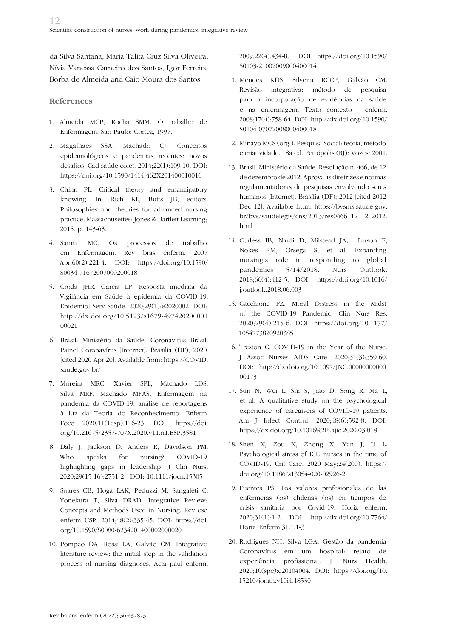da Silva Santana, Maria Talita Cruz Silva Oliveira, Nívia Vanessa Carneiro dos Santos, Igor Ferreira Borba de Almeida and Caio Moura dos Santos.

### **References**

- 1. Almeida MCP, Rocha SMM. O trabalho de Enfermagem. São Paulo: Cortez, 1997.
- 2. Magalhães SSA, Machado CJ. Conceitos epidemiológicos e pandemias recentes: novos desafios. Cad saúde colet. 2014;22(1):109-10. DOI: https://doi.org/10.1590/1414-462X201400010016
- 3. Chinn PL. Critical theory and emancipatory knowing. In: Rich KL, Butts JB, editors. Philosophies and theories for advanced nursing practice. Massachusettes: Jones & Bartlett Learning; 2015. p. 143-63.
- 4. Sanna MC. Os processos de trabalho em Enfermagem. Rev bras enferm. 2007 Apr;60(2):221-4. DOI: https://doi.org/10.1590/ S0034-71672007000200018
- 5. Croda JHR, Garcia LP. Resposta imediata da Vigilância em Saúde à epidemia da COVID-19. Epidemiol Serv Saúde. 2020;29(1):e2020002. DOI: http://dx.doi.org/10.5123/s1679-497420200001 00021
- 6. Brasil. Ministério da Saúde. Coronavírus Brasil. Painel Coronavírus [Internet]. Brasília (DF); 2020 [cited 2020 Apr 20]. Available from: https://COVID. saude.gov.br/
- 7. Moreira MRC, Xavier SPL, Machado LDS, Silva MRF, Machado MFAS. Enfermagem na pandemia da COVID-19: análise de reportagens à luz da Teoria do Reconhecimento. Enferm Foco 2020;11(1esp):116-23. DOI: https://doi. org/10.21675/2357-707X.2020.v11.n1.ESP.3581
- 8. Daly J, Jackson D, Anders R, Davidson PM. Who speaks for nursing? COVID-19 highlighting gaps in leadership. J Clin Nurs. 2020;29(15-16):2751-2. DOI: 10.1111/jocn.15305
- 9. Soares CB, Hoga LAK, Peduzzi M, Sangaleti C, Yonekura T, Silva DRAD. Integrative Review: Concepts and Methods Used in Nursing. Rev esc enferm USP. 2014;48(2):335-45. DOI: https://doi. org/10.1590/S0080-6234201400002000020
- 10. Pompeo DA, Rossi LA, Galvão CM. Integrative literature review: the initial step in the validation process of nursing diagnoses. Acta paul enferm.

2009;22(4):434-8. DOI: https://doi.org/10.1590/ S0103-21002009000400014

- 11. Mendes KDS, Silveira RCCP, Galvão CM. Revisão integrativa: método de pesquisa para a incorporação de evidências na saúde e na enfermagem. Texto contexto - enferm. 2008;17(4):758-64. DOI: http://dx.doi.org/10.1590/ S0104-07072008000400018
- 12. Minayo MCS (org.). Pesquisa Social: teoria, método e criatividade. 18a ed. Petrópolis (RJ): Vozes; 2001.
- 13. Brasil. Ministério da Saúde. Resolução n. 466, de 12 de dezembro de 2012. Aprova as diretrizes e normas regulamentadoras de pesquisas envolvendo seres humanos [Internet]. Brasília (DF); 2012 [cited 2012 Dec 12]. Available from: https://bvsms.saude.gov. br/bvs/saudelegis/cns/2013/res0466\_12\_12\_2012. html
- 14. Corless IB, Nardi D, Milstead JA, Larson E, Nokes KM, Orsega S, et al. Expanding nursing's role in responding to global pandemics 5/14/2018. Nurs Outlook. 2018;66(4):412-5*.* DOI: https://doi.org/10.1016/ j.outlook.2018.06.003
- 15. Cacchione PZ. Moral Distress in the Midst of the COVID-19 Pandemic. Clin Nurs Res. 2020;29(4):215-6. DOI: https://doi.org/10.1177/ 1054773820920385
- 16. Treston C. COVID-19 in the Year of the Nurse. J Assoc Nurses AIDS Care. 2020;31(3):359-60. DOI: http://dx.doi.org/10.1097/JNC.00000000000 00173
- 17. Sun N, Wei L, Shi S, Jiao D, Song R, Ma L, et al. A qualitative study on the psychological experience of caregivers of COVID-19 patients. Am J Infect Control. 2020;48(6):592-8. DOI: https://dx.doi.org/10.1016%2Fj.ajic.2020.03.018
- 18. Shen X, Zou X, Zhong X, Yan J, Li L. Psychological stress of ICU nurses in the time of COVID-19. Crit Care. 2020 May;24(200). https:// doi.org/10.1186/s13054-020-02926-2
- 19. Fuentes PS. Los valores profesionales de las enfermeras (os) chilenas (os) en tiempos de crisis sanitaria por Covid-19. Horiz enferm*.* 2020;31(1):1-2. DOI: http://dx.doi.org/10.7764/ Horiz\_Enferm.31.1.1-3
- 20. Rodrigues NH, Silva LGA. Gestão da pandemia Coronavírus em um hospital: relato de experiência profissional. J. Nurs Health. 2020;10(spe):e20104004. DOI: https://doi.org/10. 15210/jonah.v10i4.18530